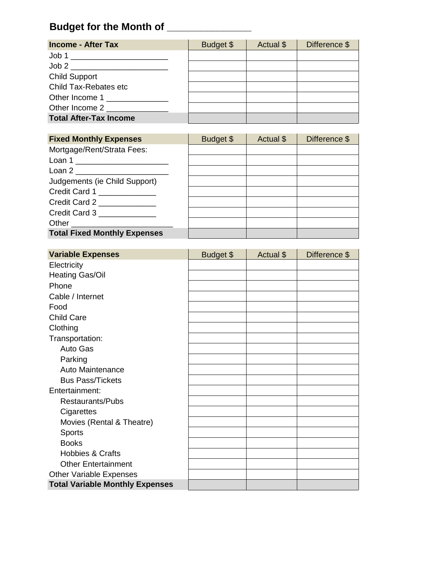## **Budget for the Month of \_\_\_\_\_\_\_\_\_\_\_\_\_\_\_**

| <b>Puugut IVI tiiv montii VI</b>                   |           |           |               |
|----------------------------------------------------|-----------|-----------|---------------|
| <b>Income - After Tax</b>                          | Budget \$ | Actual \$ | Difference \$ |
|                                                    |           |           |               |
|                                                    |           |           |               |
| <b>Child Support</b>                               |           |           |               |
| Child Tax-Rebates etc                              |           |           |               |
| Other Income 1                                     |           |           |               |
| Other Income 2 and the United States of the United |           |           |               |
| <b>Total After-Tax Income</b>                      |           |           |               |

| <b>Fixed Monthly Expenses</b>       | Budget \$ | Actual \$ | Difference \$ |
|-------------------------------------|-----------|-----------|---------------|
| Mortgage/Rent/Strata Fees:          |           |           |               |
| Loan 1 _______________________      |           |           |               |
| Loan 2 __________________________   |           |           |               |
| Judgements (ie Child Support)       |           |           |               |
| Credit Card 1                       |           |           |               |
| Credit Card 2                       |           |           |               |
| Credit Card 3                       |           |           |               |
| Other                               |           |           |               |
| <b>Total Fixed Monthly Expenses</b> |           |           |               |

| <b>Variable Expenses</b>               | Budget \$ | Actual \$ | Difference \$ |
|----------------------------------------|-----------|-----------|---------------|
| Electricity                            |           |           |               |
| <b>Heating Gas/Oil</b>                 |           |           |               |
| Phone                                  |           |           |               |
| Cable / Internet                       |           |           |               |
| Food                                   |           |           |               |
| <b>Child Care</b>                      |           |           |               |
| Clothing                               |           |           |               |
| Transportation:                        |           |           |               |
| Auto Gas                               |           |           |               |
| Parking                                |           |           |               |
| Auto Maintenance                       |           |           |               |
| <b>Bus Pass/Tickets</b>                |           |           |               |
| Entertainment:                         |           |           |               |
| Restaurants/Pubs                       |           |           |               |
| Cigarettes                             |           |           |               |
| Movies (Rental & Theatre)              |           |           |               |
| <b>Sports</b>                          |           |           |               |
| <b>Books</b>                           |           |           |               |
| <b>Hobbies &amp; Crafts</b>            |           |           |               |
| <b>Other Entertainment</b>             |           |           |               |
| <b>Other Variable Expenses</b>         |           |           |               |
| <b>Total Variable Monthly Expenses</b> |           |           |               |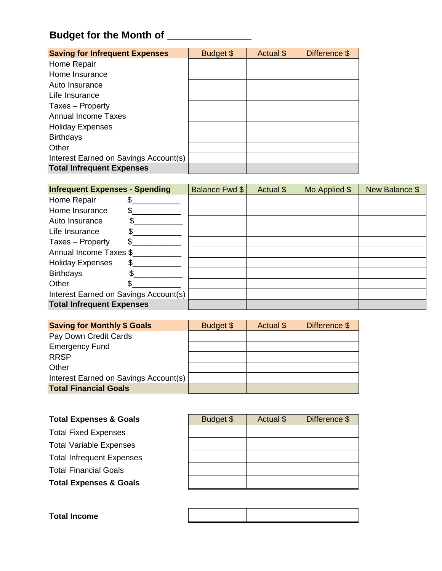## **Budget for the Month of \_\_\_\_\_\_\_\_\_\_\_\_\_\_\_**

| <b>Saving for Infrequent Expenses</b> | Budget \$ | Actual \$ | Difference \$ |
|---------------------------------------|-----------|-----------|---------------|
| Home Repair                           |           |           |               |
| Home Insurance                        |           |           |               |
| Auto Insurance                        |           |           |               |
| Life Insurance                        |           |           |               |
| Taxes - Property                      |           |           |               |
| <b>Annual Income Taxes</b>            |           |           |               |
| <b>Holiday Expenses</b>               |           |           |               |
| <b>Birthdays</b>                      |           |           |               |
| Other                                 |           |           |               |
| Interest Earned on Savings Account(s) |           |           |               |
| <b>Total Infrequent Expenses</b>      |           |           |               |

| <b>Infrequent Expenses - Spending</b> |     | Balance Fwd \$ | Actual \$ | Mo Applied \$ | New Balance \$ |
|---------------------------------------|-----|----------------|-----------|---------------|----------------|
| Home Repair                           |     |                |           |               |                |
| Home Insurance                        |     |                |           |               |                |
| Auto Insurance                        |     |                |           |               |                |
| Life Insurance                        |     |                |           |               |                |
| Taxes - Property                      |     |                |           |               |                |
| Annual Income Taxes \$                |     |                |           |               |                |
| <b>Holiday Expenses</b>               | \$. |                |           |               |                |
| <b>Birthdays</b>                      | \$  |                |           |               |                |
| Other                                 |     |                |           |               |                |
| Interest Earned on Savings Account(s) |     |                |           |               |                |
| <b>Total Infrequent Expenses</b>      |     |                |           |               |                |

| <b>Saving for Monthly \$ Goals</b>    | Budget \$ | Actual \$ | Difference \$ |
|---------------------------------------|-----------|-----------|---------------|
| Pay Down Credit Cards                 |           |           |               |
| <b>Emergency Fund</b>                 |           |           |               |
| <b>RRSP</b>                           |           |           |               |
| Other                                 |           |           |               |
| Interest Earned on Savings Account(s) |           |           |               |
| <b>Total Financial Goals</b>          |           |           |               |

| Budget \$ | Actual \$ | Difference \$ |
|-----------|-----------|---------------|
|           |           |               |
|           |           |               |
|           |           |               |
|           |           |               |
|           |           |               |
|           |           |               |

| <b>Total Income</b> |  |  |
|---------------------|--|--|